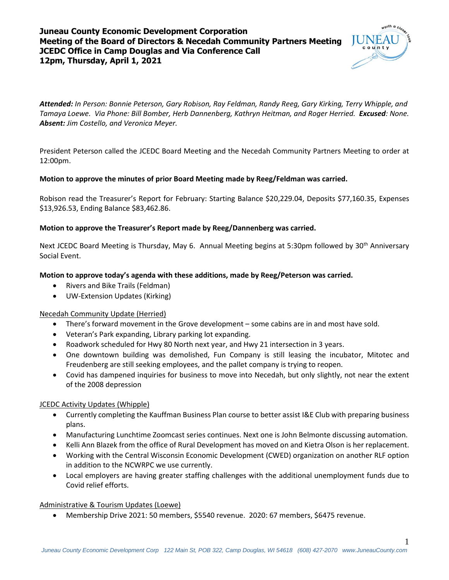# **Juneau County Economic Development Corporation Meeting of the Board of Directors & Necedah Community Partners Meeting JCEDC Office in Camp Douglas and Via Conference Call 12pm, Thursday, April 1, 2021**



*Attended: In Person: Bonnie Peterson, Gary Robison, Ray Feldman, Randy Reeg, Gary Kirking, Terry Whipple, and Tamaya Loewe. Via Phone: Bill Bomber, Herb Dannenberg, Kathryn Heitman, and Roger Herried. Excused: None. Absent: Jim Costello, and Veronica Meyer.*

President Peterson called the JCEDC Board Meeting and the Necedah Community Partners Meeting to order at 12:00pm.

#### **Motion to approve the minutes of prior Board Meeting made by Reeg/Feldman was carried.**

Robison read the Treasurer's Report for February: Starting Balance \$20,229.04, Deposits \$77,160.35, Expenses \$13,926.53, Ending Balance \$83,462.86.

### **Motion to approve the Treasurer's Report made by Reeg/Dannenberg was carried.**

Next JCEDC Board Meeting is Thursday, May 6. Annual Meeting begins at 5:30pm followed by 30<sup>th</sup> Anniversary Social Event.

### **Motion to approve today's agenda with these additions, made by Reeg/Peterson was carried.**

- Rivers and Bike Trails (Feldman)
- UW-Extension Updates (Kirking)

#### Necedah Community Update (Herried)

- There's forward movement in the Grove development some cabins are in and most have sold.
- Veteran's Park expanding, Library parking lot expanding.
- Roadwork scheduled for Hwy 80 North next year, and Hwy 21 intersection in 3 years.
- One downtown building was demolished, Fun Company is still leasing the incubator, Mitotec and Freudenberg are still seeking employees, and the pallet company is trying to reopen.
- Covid has dampened inquiries for business to move into Necedah, but only slightly, not near the extent of the 2008 depression

#### JCEDC Activity Updates (Whipple)

- Currently completing the Kauffman Business Plan course to better assist I&E Club with preparing business plans.
- Manufacturing Lunchtime Zoomcast series continues. Next one is John Belmonte discussing automation.
- Kelli Ann Blazek from the office of Rural Development has moved on and Kietra Olson is her replacement.
- Working with the Central Wisconsin Economic Development (CWED) organization on another RLF option in addition to the NCWRPC we use currently.
- Local employers are having greater staffing challenges with the additional unemployment funds due to Covid relief efforts.

#### Administrative & Tourism Updates (Loewe)

Membership Drive 2021: 50 members, \$5540 revenue. 2020: 67 members, \$6475 revenue.